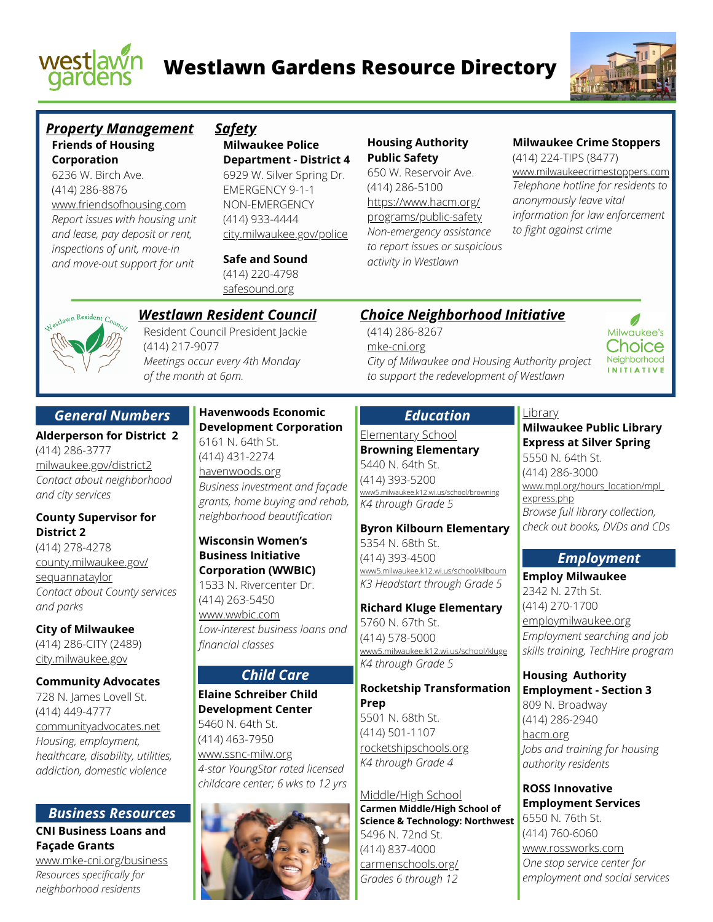



### **Friends of Housing Corporation** *Property Management Safety*

6236 W. Birch Ave. (414) 286-8876 www.friendsofhousing.com *Report issues with housing unit and lease, pay deposit or rent, inspections of unit, move-in and move-out support for unit*

**Milwaukee Police Department - District 4** 6929 W. Silver Spring Dr. EMERGENCY 9-1-1 NON-EMERGENCY (414) 933-4444 city.milwaukee.gov/police

**Safe and Sound** (414) 220-4798 safesound.org

### **Housing Authority Public Safety**

650 W. Reservoir Ave. (414) 286-5100 https://www.hacm.org/ programs/public-safety *Non-emergency assistance to report issues or suspicious activity in Westlawn*

Elementary School **Browning Elementary**

*K4 through Grade 5*

5354 N. 68th St. (414) 393-4500

5760 N. 67th St. (414) 578-5000

*K4 through Grade 5*

5501 N. 68th St. (414) 501-1107 rocketshipschools.org *K4 through Grade 4*

Middle/High School

5496 N. 72nd St. (414) 837-4000 carmenschools.org/ *Grades 6 through 12*

**Carmen Middle/High School of Science & Technology: Northwest**

**Prep**

5.milwaukee.k12.wi.us/school/browning

*Education*

**Byron Kilbourn Elementary**

www5.milwaukee.k12.wi.us/school/kilbourn *K3 Headstart through Grade 5*

**Richard Kluge Elementary**

www5.milwaukee.k12.wi.us/school/kluge

**Rocketship Transformation**

5440 N. 64th St. (414) 393-5200

### **Milwaukee Crime Stoppers**

(414) 224-TIPS (8477) www.milwaukeecrimestoppers.com *Telephone hotline for residents to anonymously leave vital information for law enforcement to fight against crime*



# *Westlawn Resident Council*

Resident Council President Jackie (414) 217-9077 *Meetings occur every 4th Monday of the month at 6pm.*

## *General Numbers*

**Alderperson for District 2** (414) 286-3777 milwaukee.gov/district2 *Contact about neighborhood and city services*

## **County Supervisor for District 2**

(414) 278-4278 county.milwaukee.gov/ sequannataylor *Contact about County services and parks*

**City of Milwaukee** (414) 286-CITY (2489) city.milwaukee.gov

#### **Community Advocates**

728 N. James Lovell St. (414) 449-4777 communityadvocates.net *Housing, employment, healthcare, disability, utilities, addiction, domestic violence*

### *Business Resources* **CNI Business Loans and**

**Façade Grants**

www.mke-cni.org/business *Resources specifically for neighborhood residents*

### **Havenwoods Economic Development Corporation**

6161 N. 64th St. (414) 431-2274 havenwoods.org *Business investment and façade grants, home buying and rehab, neighborhood beautification*

### **Wisconsin Women's Business Initiative Corporation (WWBIC)**

1533 N. Rivercenter Dr. (414) 263-5450 www.wwbic.com *Low-interest business loans and financial classes*

# *Child Care*

**Elaine Schreiber Child Development Center** 5460 N. 64th St. (414) 463-7950 www.ssnc-milw.org *4-star YoungStar rated licensed*

*childcare center; 6 wks to 12 yrs*



#### (414) 286-8267 *Choice Neighborhood Initiative*

mke-cni.org *City of Milwaukee and Housing Authority project to support the redevelopment of Westlawn*

# **Library**

**Milwaukee Public Library Express at Silver Spring** 5550 N. 64th St. (414) 286-3000 www.mpl.org/hours\_location/mpl express.php *Browse full library collection, check out books, DVDs and CDs*

Milwaukee's Choice Neighborhood **INITIATIVE** 

# *Employment*

**Employ Milwaukee** 2342 N. 27th St. (414) 270-1700 employmilwaukee.org *Employment searching and job skills training, TechHire program*

**Housing Authority Employment - Section 3** 809 N. Broadway (414) 286-2940 hacm.org *Jobs and training for housing authority residents*

**ROSS Innovative Employment Services** 6550 N. 76th St. (414) 760-6060 www.rossworks.com *One stop service center for employment and social services*